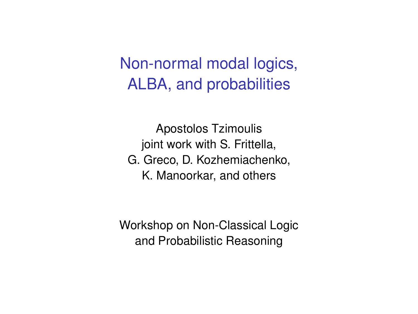# Non-normal modal logics, ALBA, and probabilities

Apostolos Tzimoulis joint work with S. Frittella, G. Greco, D. Kozhemiachenko, K. Manoorkar, and others

Workshop on Non-Classical Logic and Probabilistic Reasoning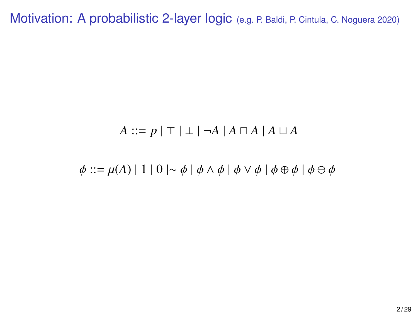Motivation: A probabilistic 2-layer logic (e.g. P. Baldi, P. Cintula, C. Noguera 2020)

#### $A ::= p | \top | \bot | \neg A | A \sqcap A | A \sqcup A$

 $\phi ::= \mu(A) | 1 | 0 | \sim \phi | \phi \wedge \phi | \phi \vee \phi | \phi \oplus \phi | \phi \ominus \phi$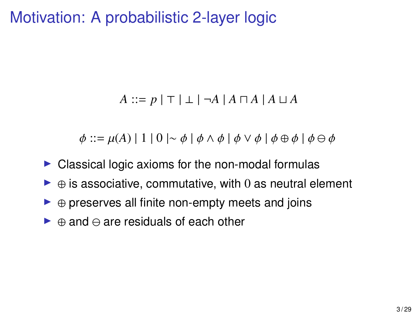## Motivation: A probabilistic 2-layer logic

#### $A ::= p \mid \top \mid \bot \mid \neg A \mid A \sqcap A \mid A \sqcup A$

 $\phi ::= \mu(A) | 1 | 0 | \sim \phi | \phi \wedge \phi | \phi \vee \phi | \phi \oplus \phi | \phi \ominus \phi$ 

- $\triangleright$  Classical logic axioms for the non-modal formulas
- $\triangleright \oplus$  is associative, commutative, with 0 as neutral element
- $\triangleright \oplus$  preserves all finite non-empty meets and joins
- $\triangleright$   $\oplus$  and  $\ominus$  are residuals of each other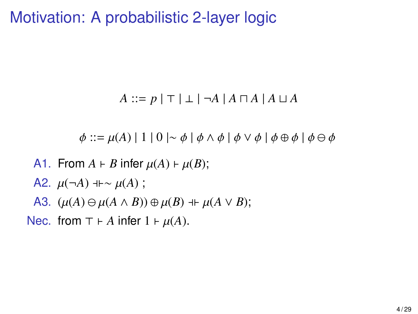### Motivation: A probabilistic 2-layer logic

$$
A ::= p | \top | \bot | \neg A | A \sqcap A | A \sqcup A
$$

 $\phi ::= \mu(A) | 1 | 0 | \sim \phi | \phi \wedge \phi | \phi \vee \phi | \phi \oplus \phi | \phi \ominus \phi$ 

- A1. From  $A \vdash B$  infer  $\mu(A) \vdash \mu(B)$ ;
- A2.  $\mu(\neg A)$  + ⊢  $\sim \mu(A)$  ;
- A3.  $(\mu(A) \ominus \mu(A \wedge B)) \oplus \mu(B) + \mu(A \vee B)$ ;

Nec. from  $\top \vdash A$  infer  $1 \vdash \mu(A)$ .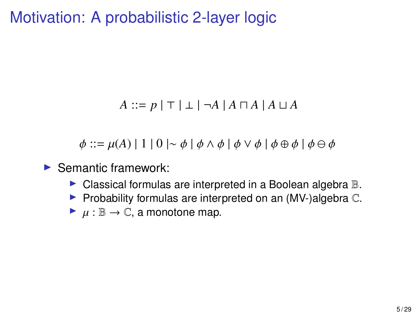## Motivation: A probabilistic 2-layer logic

#### $A ::= p | \top | \bot | \neg A | A ∩ A | A ∪ A$

 $\phi ::= \mu(A) | 1 | 0 | \sim \phi | \phi \wedge \phi | \phi \vee \phi | \phi \oplus \phi | \phi \ominus \phi$ 

- $\blacktriangleright$  Semantic framework:
	- $\blacktriangleright$  Classical formulas are interpreted in a Boolean algebra  $\mathbb{B}$ .
	- Probability formulas are interpreted on an  $(MV-)$ algebra  $\mathbb{C}$ .
	- $\blacktriangleright \mu : \mathbb{B} \to \mathbb{C}$ , a monotone map.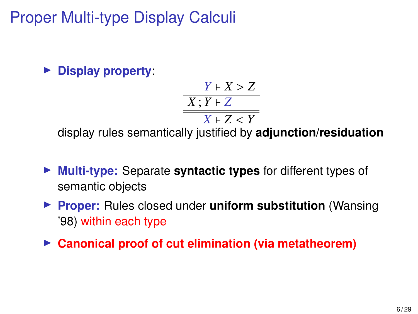Proper Multi-type Display Calculi

I **Display property**:

$$
\frac{Y \vdash X > Z}{X : Y \vdash Z}
$$
  

$$
X \vdash Z < Y
$$

 $X \vdash Z < Y$ <br>display rules semantically justified by **adjunction/residuation** 

- **Multi-type:** Separate **syntactic types** for different types of semantic objects
- **Proper:** Rules closed under **uniform substitution** (Wansing '98) within each type
- **Canonical proof of cut elimination (via metatheorem)**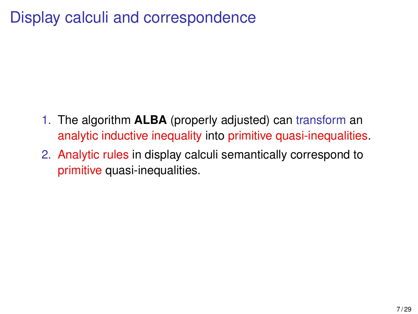# Display calculi and correspondence

- 1. The algorithm **ALBA** (properly adjusted) can transform an analytic inductive inequality into primitive quasi-inequalities.
- 2. Analytic rules in display calculi semantically correspond to primitive quasi-inequalities.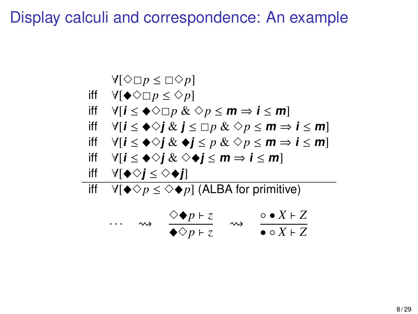Display calculi and correspondence: An example

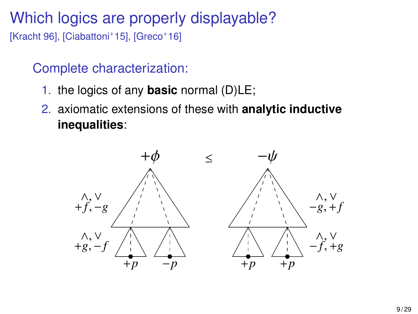# Which logics are properly displayable?

[Kracht 96], [Ciabattoni<sup>+</sup>15], [Greco<sup>+</sup>16]

#### Complete characterization:

- 1. the logics of any **basic** normal (D)LE;
- 2. axiomatic extensions of these with **analytic inductive inequalities**:

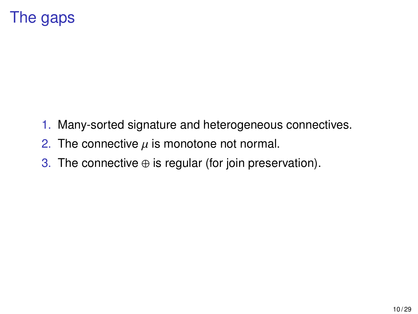# The gaps

- 1. Many-sorted signature and heterogeneous connectives.
- 2. The connective  $\mu$  is monotone not normal.
- 3. The connective  $\oplus$  is regular (for join preservation).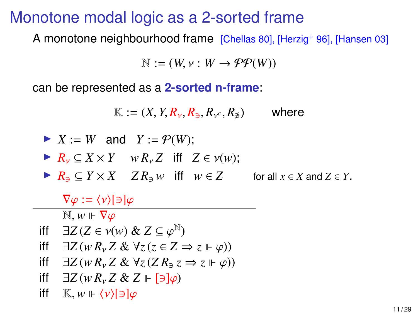#### Monotone modal logic as a 2-sorted frame

A monotone neighbourhood frame [Chellas 80], [Herzig<sup>+</sup> 96], [Hansen 03]

$$
\mathbb{N} := (W, \nu : W \to \mathcal{PP}(W))
$$

can be represented as a **2-sorted n-frame**:

$$
\mathbb{K} := (X, Y, R_{\nu}, R_{\ni}, R_{\nu^c}, R_{\nexists}) \quad \text{where}
$$
\n
$$
\triangleright X := W \text{ and } Y := \mathcal{P}(W);
$$
\n
$$
\triangleright R_{\nu} \subseteq X \times Y \quad wR_{\nu}Z \text{ iff } Z \in \nu(w);
$$
\n
$$
\triangleright R_{\ni} \subseteq Y \times X \quad ZR_{\ni}w \text{ iff } w \in Z \quad \text{for all } x \in X \text{ and } Z \in Y.
$$

 $\nabla \varphi := \langle \nu \rangle [\ni] \varphi$ 

 $\mathbb{N}, w \Vdash \nabla \varphi$ 

$$
\begin{array}{ll}\n\text{iff} & \exists Z \, (Z \in v(w) \& Z \subseteq \varphi^{\mathbb{N}}) \\
\text{iff} & \exists Z \, (w \, R \, Z \, k \, \forall z \, (z \in Z \rightarrow \mathbb{N}))\n\end{array}
$$

- iff  $\exists Z (w R_v Z \& \forall z (z \in Z \Rightarrow z \Vdash \varphi))$ <br>iff  $\exists Z (\omega R, Z \& \forall z (Z R, z \Rightarrow z \Vdash \varphi))$
- iff  $∃Z(w R<sub>ν</sub> Z & ∀z(Z R<sub>∃</sub> z ⇒ z ⊩ φ))$
- iff  $∃Z(w R<sub>ν</sub>Z & Z ⊢ [∃]φ)$
- iff  $\mathbb{K}, w \Vdash \langle v \rangle[\ni] \varphi$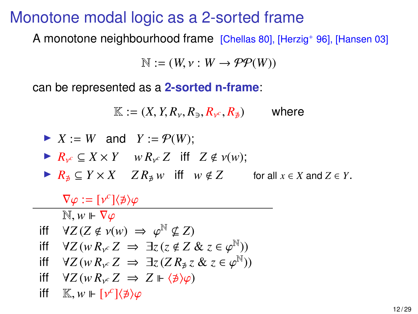#### Monotone modal logic as a 2-sorted frame

A monotone neighbourhood frame [Chellas 80], [Herzig<sup>+</sup> 96], [Hansen 03]

$$
\mathbb{N} := (W, \nu : W \to \mathcal{PP}(W))
$$

can be represented as a **2-sorted n-frame**:

$$
\mathbb{K} := (X, Y, R_{\nu}, R_{\ni}, R_{\nu^c}, R_{\nexists}) \quad \text{where}
$$
\n
$$
\triangleright X := W \text{ and } Y := \mathcal{P}(W);
$$
\n
$$
\triangleright R_{\nu^c} \subseteq X \times Y \quad w \, R_{\nu^c} Z \text{ iff } Z \notin \nu(w);
$$
\n
$$
\triangleright R_{\nexists} \subseteq Y \times X \quad Z \, R_{\nexists} \, w \text{ iff } w \notin Z \quad \text{for all } x \in X \text{ and } Z \in Y.
$$

 $\nabla \varphi := [\nu^c] \langle \nexists \rangle \varphi$ <br>
Media Index  $\mathbb{N}, w \Vdash \nabla \varphi$ iff  $\forall Z (Z \notin \nu(w) \implies \varphi^{\mathbb{N}} \nsubseteq Z)$ <br>iff  $\forall Z (wR, Z \rightarrow \exists z (z \notin Z))$ iff  $\forall Z (w R_{y^c} Z \Rightarrow \exists z (z \notin Z \& z \in \varphi^{\mathbb{N}}))$ <br>iff  $\forall Z (\omega R, Z \rightarrow \exists z (Z R, z R, z \in \varphi^{\mathbb{N}}))$ iff  $\forall Z (w R_v z \Rightarrow \exists z (Z R_{\not{P}} z \& z \in \varphi^{\mathbb{N}}))$ <br>iff  $\forall z (w R_z z \Rightarrow Z \models \forall z (z \land z)$ iff  $\forall Z (w R_{\nu} c Z \Rightarrow Z \Vdash \langle \nexists \rangle \varphi)$ iff  $\mathbb{K}, w \Vdash [\nu^c]\langle \npreceq \rangle \varphi$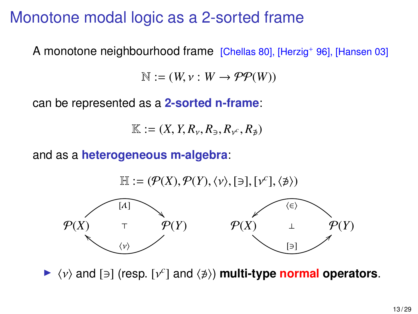## Monotone modal logic as a 2-sorted frame

A monotone neighbourhood frame [Chellas 80], [Herzig<sup>+</sup> 96], [Hansen 03]

 $\mathbb{N} := (W, \nu : W \rightarrow \mathcal{PP}(W))$ 

can be represented as a **2-sorted n-frame**:

$$
\mathbb{K} := (X, Y, R_{\nu}, R_{\ni}, R_{\nu^c}, R_{\nexists})
$$

and as a **heterogeneous m-algebra**:

 $\mathbb{H} := (\mathcal{P}(X), \mathcal{P}(Y), \langle v \rangle, [\exists], [v^c], \langle \not\ni \rangle)$  $P(X)$ `  $\stackrel{\langle \nu \rangle}{=}$  $[\Lambda]$  $P(Y)$  $P(X)$ µ<br>√  $\langle \in \rangle$  $\overline{3}$  $P(Y)$ 

 $\blacktriangleright \langle v \rangle$  and  $[\ni]$  (resp.  $[v^c]$  and  $\langle \nexists \rangle$ ) **multi-type normal operators**.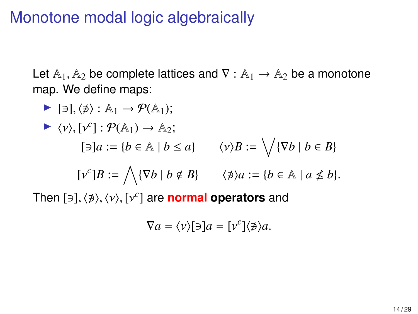## Monotone modal logic algebraically

Let  $A_1$ ,  $A_2$  be complete lattices and  $\nabla : A_1 \rightarrow A_2$  be a monotone map. We define maps:

► [∃], 
$$
\langle \nexists \rangle : \mathbb{A}_1 \rightarrow \mathcal{P}(\mathbb{A}_1);
$$
  
\n►  $\langle \nu \rangle$ ,  $\lbrack \nu^c \rbrack : \mathcal{P}(\mathbb{A}_1) \rightarrow \mathbb{A}_2;$   
\n[∃]a :=  $\{b \in \mathbb{A} \mid b \le a\}$   $\langle \nu \rangle B := \sqrt{\{\nabla b \mid b \in B\}}$   
\n[ $\nu^c$ ]B :=  $\bigwedge \{\nabla b \mid b \notin B\}$   $\langle \nexists \rangle a := \{b \in \mathbb{A} \mid a \nleq b\}.$   
\nThen [∃],  $\langle \nexists \rangle$ ,  $\langle \nu \rangle$ ,  $\lbrack \nu^c \rbrack$  are **normal operators** and

$$
\nabla a = \langle v \rangle [\ni] a = [v^c] \langle \nabla \rangle a.
$$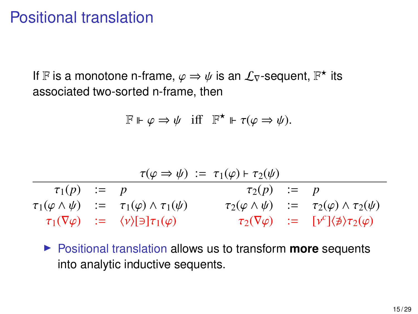### Positional translation

If **F** is a monotone n-frame,  $\varphi \Rightarrow \psi$  is an  $\mathcal{L}_{\nabla}$ -sequent,  $\mathbb{F}^*$  its associated two-sorted n-frame, then associated two-sorted n-frame, then

$$
\mathbb{F} \Vdash \varphi \Rightarrow \psi \quad \text{iff} \quad \mathbb{F}^\star \Vdash \tau(\varphi \Rightarrow \psi).
$$

$$
\begin{array}{ccl}\n\tau(\varphi \Rightarrow \psi) & := & \tau_1(\varphi) \vdash \tau_2(\psi) \\
\hline\n\tau_1(p) & := & p \\
\tau_1(\varphi \land \psi) & := & \tau_1(\varphi) \land \tau_1(\psi) \\
\tau_1(\nabla \varphi) & := & \langle \nu \rangle[\ni] \tau_1(\varphi) \\
\end{array}\n\quad\n\begin{array}{ccl}\n\tau_1(\varphi) \vdash \tau_2(\psi) \\
\tau_2(\varphi \land \psi) & := & \tau_2(\varphi) \land \tau_2(\psi) \\
\tau_2(\nabla \varphi) & := & [\nu^c] \langle \nabla \varphi \rangle\n\end{array}
$$

**Positional translation allows us to transform more sequents** into analytic inductive sequents.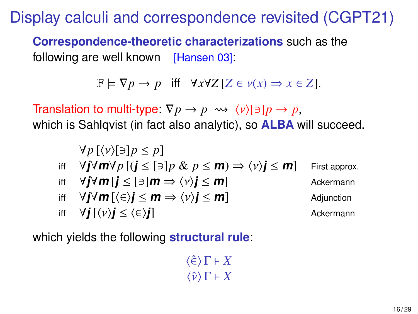Display calculi and correspondence revisited (CGPT21)

**Correspondence-theoretic characterizations** such as the following are well known [Hansen 03]:

 $\mathbb{F} \models \nabla p \rightarrow p$  iff  $\forall x \forall Z \, [Z \in v(x) \Rightarrow x \in Z].$ 

Translation to multi-type:  $\nabla p \rightarrow p \rightsquigarrow \langle v \rangle [\ni] p \rightarrow p$ , which is Sahlqvist (in fact also analytic), so **ALBA** will succeed.

$$
\forall p [\langle v \rangle [\exists] p \le p]
$$
  
\niff 
$$
\forall j \forall m \forall p [ (j \le [\exists] p \& p \le m) \Rightarrow \langle v \rangle j \le m ]
$$
 First approx.  
\niff 
$$
\forall j \forall m [j \le [\exists] m \Rightarrow \langle v \rangle j \le m ]
$$
 Ackermann  
\niff 
$$
\forall j \forall m [\langle \in \rangle j \le m \Rightarrow \langle v \rangle j \le m ]
$$
Adjunction  
\niff 
$$
\forall j [\langle v \rangle j \le \langle \in \rangle j ]
$$
 Ackermann

which yields the following **structural rule**:

$$
\frac{\langle \hat{\epsilon} \rangle \Gamma \vdash X}{\langle \hat{\nu} \rangle \Gamma \vdash X}
$$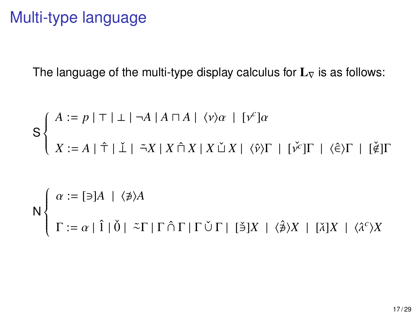## Multi-type language

The language of the multi-type display calculus for  $L<sub>\nabla</sub>$  is as follows:

$$
S \begin{cases} A := p | \top | \bot | \neg A | A \sqcap A | \langle v \rangle \alpha | [v^c] \alpha \\ X := A | \hat{\top} | \check{\bot} | \tilde{\neg} X | X \hat{\sqcap} X | X \check{\sqcup} X | \langle \hat{v} \rangle \Gamma | [v^c] \Gamma | \langle \hat{\epsilon} \rangle \Gamma | [\check{\ell}] \Gamma \\ \vdots \\ \Gamma := \alpha | \hat{1} | \check{0} | \tilde{\neg} \Gamma | \Gamma \hat{\cap} \Gamma | \Gamma \check{\cup} \Gamma | [\check{\exists}] X | \langle \hat{\beta} \rangle X | [\check{\lambda}] X | \langle \hat{\lambda}^c \rangle X \end{cases}
$$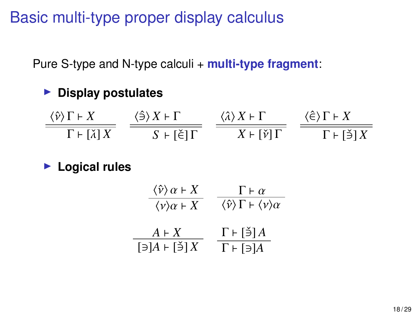Basic multi-type proper display calculus

Pure S-type and N-type calculi + **multi-type fragment**:

#### **EXECUTE:** Display postulates

 $\frac{\langle \hat{v} \rangle \Gamma \vdash X}{\Gamma \vdash [\check{\lambda}] \, X}$  $\braket{\hat{\ni}} X \vdash \Gamma$  $S$  ⊦ [Ě] Γ  $\langle \hat{\lambda} \rangle X \vdash \Gamma$  $X \vdash [\check{v}]$  Γ  $\braket{\hat{\in}} \Gamma$  ⊦  $X$  $\Gamma \vdash [\check{\ni}] \, X$ 

#### **E** Logical rules

$$
\frac{\langle \hat{v} \rangle \alpha + X}{\langle v \rangle \alpha + X} = \frac{\Gamma + \alpha}{\langle \hat{v} \rangle \Gamma + \langle v \rangle \alpha}
$$
\n
$$
\frac{A + X}{[\exists] A + [\check{v}] X} = \frac{\Gamma + [\check{v}] A}{\Gamma + [\exists] A}
$$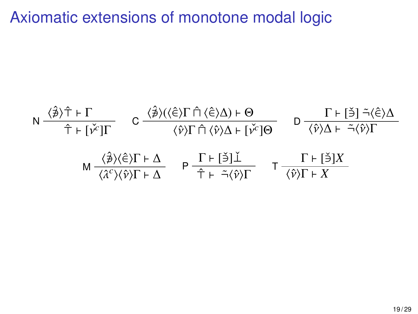## Axiomatic extensions of monotone modal logic

$$
N \frac{\langle \hat{\beta} \rangle \hat{T} + \Gamma}{\hat{T} + [\check{\nu}^c] \Gamma} \quad C \frac{\langle \hat{\beta} \rangle (\langle \hat{\epsilon} \rangle \Gamma \hat{\Pi} \langle \hat{\epsilon} \rangle \Delta) + \Theta}{\langle \hat{\nu} \rangle \Gamma \hat{\Pi} \langle \hat{\nu} \rangle \Delta + [\check{\nu}^c] \Theta} \quad D \frac{\Gamma \vdash [\check{\beta}] \tilde{\neg} \langle \hat{\epsilon} \rangle \Delta}{\langle \hat{\nu} \rangle \Delta + \tilde{\neg} \langle \hat{\nu} \rangle \Gamma}
$$
  

$$
M \frac{\langle \hat{\beta} \rangle \langle \hat{\epsilon} \rangle \Gamma + \Delta}{\langle \hat{\lambda}^c \rangle \langle \hat{\nu} \rangle \Gamma + \Delta} \quad P \frac{\Gamma \vdash [\check{\beta}] \check{\perp}}{\hat{T} + \tilde{\neg} \langle \hat{\nu} \rangle \Gamma} \quad T \frac{\Gamma \vdash [\check{\beta}] X}{\langle \hat{\nu} \rangle \Gamma + X}
$$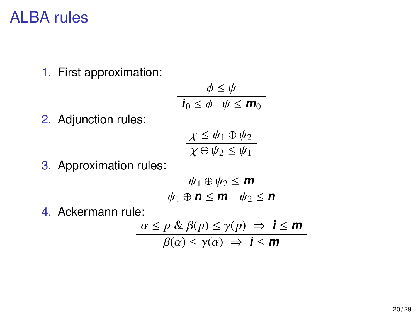#### ALBA rules

1. First approximation:

$$
\begin{aligned}\n\phi &\leq \psi \\
\mathbf{i}_0 &\leq \phi \quad \psi \leq \mathbf{m}_0\n\end{aligned}
$$

2. Adjunction rules:

$$
\frac{\chi \leq \psi_1 \oplus \psi_2}{\chi \ominus \psi_2 \leq \psi_1}
$$

3. Approximation rules:

$$
\frac{\psi_1 \oplus \psi_2 \le m}{\psi_1 \oplus n \le m \quad \psi_2 \le n}
$$

4. Ackermann rule:

$$
\frac{\alpha \le p \& \beta(p) \le \gamma(p) \Rightarrow i \le m}{\beta(\alpha) \le \gamma(\alpha) \Rightarrow i \le m}
$$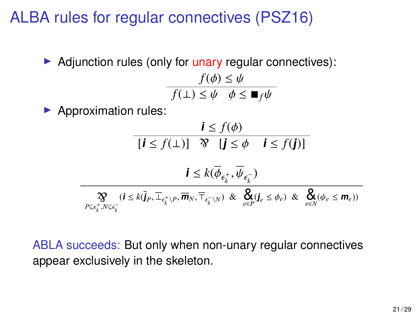## ALBA rules for regular connectives (PSZ16)

 $\triangleright$  Adjunction rules (only for unary regular connectives):

$$
\frac{f(\phi) \le \psi}{f(\bot) \le \psi \quad \phi \le \blacksquare_f \psi}
$$

 $\blacktriangleright$  Approximation rules:

۳

$$
\frac{\mathbf{i} \le f(\phi)}{[\mathbf{i} \le f(\bot)] \mathcal{R} \quad [\mathbf{j} \le \phi \quad \mathbf{i} \le f(\mathbf{j})]}
$$

$$
\mathbf{i} \le k(\overline{\phi}_{\epsilon_k^+}, \overline{\psi}_{\epsilon_k^-})
$$

$$
\frac{\mathcal{R}}{P \subseteq \epsilon_k^+, N \subseteq \epsilon_k^-} (i \le k(\overline{j}_P, \overline{\bot}_{\epsilon_k^+ \setminus P}, \overline{m}_N, \overline{\top}_{\epsilon_k^- \setminus N}) \& \underset{e \in P}{\mathcal{R}} \mathcal{R}(j_e \le \phi_e) \& \underset{e \in N}{\mathcal{R}} (\psi_e \le m_e))}
$$

ABLA succeeds: But only when non-unary regular connectives appear exclusively in the skeleton.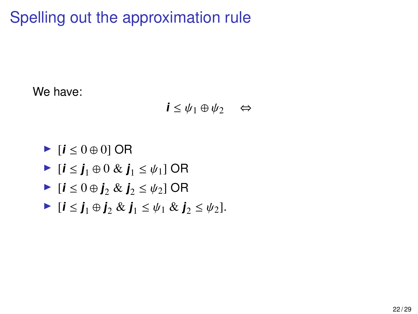Spelling out the approximation rule

We have:

 $\mathbf{i} \leq \psi_1 \oplus \psi_2 \quad \Leftrightarrow$ 

 $\blacktriangleright$  [**i** ≤ 0 ⊕ 0] OR

- $\blacktriangleright$  [**i** ≤ **j**<sub>1</sub> ⊕ 0 & **j**<sub>1</sub> ≤  $\psi$ <sub>1</sub>] OR
- $\blacktriangleright$  [ $\mathbf{i} \leq 0 \oplus \mathbf{j}_2 \& \mathbf{j}_2 \leq \psi_2$ ] OR
- $\blacktriangleright$  [ $\mathbf{i} \leq \mathbf{j}_1 \oplus \mathbf{j}_2 \& \mathbf{j}_1 \leq \psi_1 \& \mathbf{j}_2 \leq \psi_2$ ].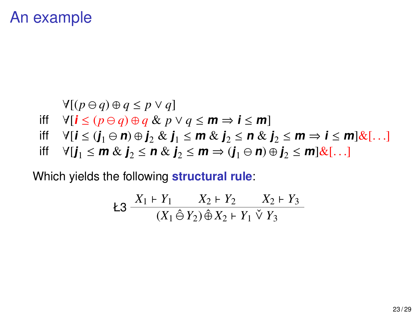### An example

$$
\forall [(p \ominus q) \oplus q \leq p \vee q]
$$

- iff  $\forall$  [ $\mathbf{i} \leq (p \ominus q) \oplus q \& p \vee q \leq m \Rightarrow \mathbf{i} \leq m$ ]
- iff  $\forall$ [ $i \leq (j_1 \oplus n) \oplus j_2 \& j_1 \leq m \& j_2 \leq n \& j_2 \leq m \Rightarrow i \leq m \& j_1$ ...
- iff  $\forall$  [**j**<sub>1</sub> ≤ **m** & **j**<sub>2</sub> ≤ **n** & **j**<sub>2</sub> ≤ **m** ⇒ (**j**<sub>1</sub> ⊖ **n**) ⊕ **j**<sub>2</sub> ≤ **m** |&[...]

Which yields the following **structural rule**:

$$
23 \frac{X_1 + Y_1}{(X_1 \hat{\Theta} Y_2) \hat{\Theta} X_2 + Y_1 \check{\vee} Y_3}
$$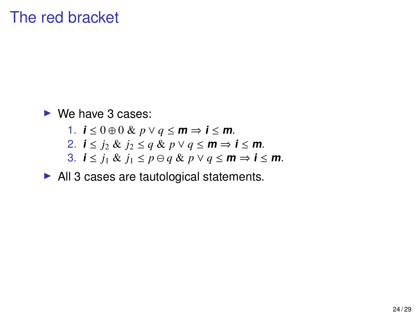## The red bracket

 $\triangleright$  We have 3 cases:

- 1. **i** ≤ 0 ⊕ 0 & *p* ∨ *q* ≤ **m** ⇒ **i** ≤ **m**.
- 2. *i*  $\leq$  *j*<sub>2</sub> & *j*<sub>2</sub>  $\leq$  *q* & *p*  $\vee$  *q*  $\leq$  **m**  $\Rightarrow$  *i*  $\leq$  **m**.
- 3. **i**  $\leq j_1 \& \ j_1 \leq p \ominus q \& \ p \vee q \leq m \Rightarrow i \leq m$ .

 $\blacktriangleright$  All 3 cases are tautological statements.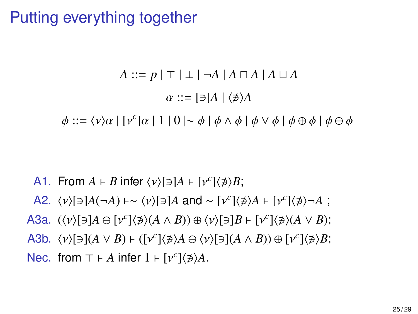## Putting everything together

$$
A ::= p | \top | \bot | \neg A | A \sqcap A | A \sqcup A
$$

$$
\alpha ::= [\exists] A | \langle \not\exists \rangle A
$$

$$
\phi ::= \langle v \rangle \alpha | [v^c] \alpha | 1 | 0 | \sim \phi | \phi \land \phi | \phi \lor \phi | \phi \oplus \phi | \phi \ominus \phi
$$

- A1. From  $A \vdash B$  infer  $\langle v \rangle [\ni] A \vdash [v^c] \langle \not\ni \rangle B;$
- A2.  $\langle v \rangle$ [∋]*A*(¬*A*) ⊦∼  $\langle v \rangle$ [∋]*A* and ∼ [ $v^c$ ] $\langle \nexists \lambda \rangle$  + [ $v^c$ ] $\langle \nexists \lambda \rangle$  ¬*A* ;
- A3a.  $(\langle v \rangle[\ni]A \ominus [v^c]\langle \nexists \rangle(A \land B)) \oplus \langle v \rangle[\ni]B \vdash [v^c]\langle \nexists \rangle(A \lor B);$
- A3b.  $\langle v \rangle [\ni](A \vee B) \vdash ([v^c]\langle \nexists \rangle A \ominus \langle v \rangle[\ni](A \wedge B)) \oplus [v^c]\langle \nexists \rangle B;$
- Nec. from  $\top \vdash A$  infer  $1 \vdash [\nu^c]\langle \nexists \rangle A$ .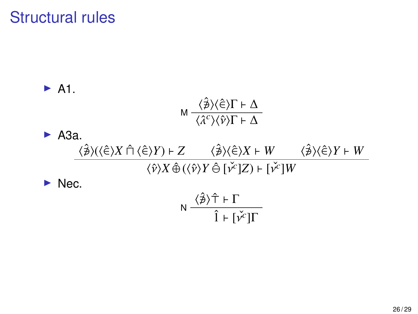# Structural rules

\n- A1. 
$$
M \frac{\langle \hat{\beta} \rangle \langle \hat{\epsilon} \rangle \Gamma + \Delta}{\langle \hat{\lambda}^c \rangle \langle \hat{\mathbf{v}} \rangle \Gamma + \Delta}
$$
\n- A3a.  $\frac{\langle \hat{\beta} \rangle (\langle \hat{\epsilon} \rangle X \cap \langle \hat{\epsilon} \rangle Y) + Z}{\langle \hat{\mathbf{v}} \rangle X \hat{\Phi} (\langle \hat{\mathbf{v}} \rangle Y \hat{\Theta} [\hat{\mathbf{v}}^c] Z) + [\hat{\mathbf{v}}^c] W}$
\n- Nec.  $\frac{\langle \hat{\beta} \rangle \langle \hat{\epsilon} \rangle \langle \hat{\mathbf{v}} \rangle \langle \hat{\mathbf{v}} \rangle \langle \hat{\mathbf{v}} \rangle \langle \hat{\mathbf{v}} \rangle \langle \hat{\mathbf{v}} \rangle \langle \hat{\mathbf{v}} \rangle \langle \hat{\mathbf{v}} \rangle \langle \hat{\mathbf{v}} \rangle \langle \hat{\mathbf{v}} \rangle \langle \hat{\mathbf{v}} \rangle \langle \hat{\mathbf{v}} \rangle \langle \hat{\mathbf{v}} \rangle \langle \hat{\mathbf{v}} \rangle \langle \hat{\mathbf{v}} \rangle \langle \hat{\mathbf{v}} \rangle \langle \hat{\mathbf{v}} \rangle \langle \hat{\mathbf{v}} \rangle \langle \hat{\mathbf{v}} \rangle \langle \hat{\mathbf{v}} \rangle \langle \hat{\mathbf{v}} \rangle \langle \hat{\mathbf{v}} \rangle \langle \hat{\mathbf{v}} \rangle \langle \hat{\mathbf{v}} \rangle \langle \hat{\mathbf{v}} \rangle \langle \hat{\mathbf{v}} \rangle \langle \hat{\mathbf{v}} \rangle \langle \hat{\mathbf{v}} \rangle \langle \hat{\mathbf{v}} \rangle \langle \hat{\mathbf{v}} \rangle \langle \hat{\mathbf{v}} \rangle \langle \hat{\mathbf{v}} \rangle \langle \hat{\mathbf{v}} \rangle \langle \hat{\mathbf{v}} \rangle \langle \hat{\mathbf{v}} \rangle \langle \hat{\mathbf{v}} \rangle \langle \hat{\mathbf{v}} \rangle \langle \hat{\mathbf{v}} \rangle \langle \hat{\mathbf{v}} \rangle \langle \hat{\mathbf{v}} \rangle \langle \hat{\mathbf{v}} \rangle \langle \hat{\mathbf{v}} \rangle \langle \hat{\mathbf{v}} \rangle \langle \hat{\mathbf{v}} \rangle \langle \hat{\mathbf{v}} \rangle \langle \hat{\mathbf{v}} \rangle \langle \$

$$
\mathsf{N} \ \frac{\langle \hat{\not \ni} \rangle \hat{\top} \vdash \Gamma}{\hat{\mathbf{l}} \vdash [\check{\mathsf{v}}^c] \Gamma}
$$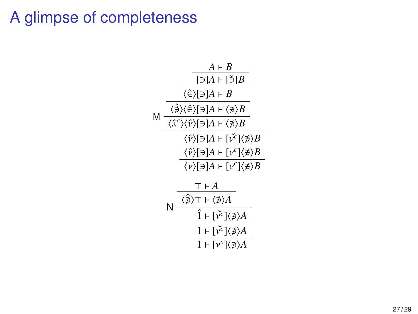## A glimpse of completeness

|   |   | $A \vdash R$                                                                                           |
|---|---|--------------------------------------------------------------------------------------------------------|
|   |   | $\lceil \ni \rceil A \rceil$ = $\lceil \not \ni \rceil B$                                              |
| м |   | $\langle \hat{\in} \rangle$ [∋] $A \vdash B$                                                           |
|   |   | $\langle \hat{\not \ni} \rangle \langle \hat{\in} \rangle$ [∋] $A \vdash \langle \not \ni \rangle B$   |
|   |   | $\langle \hat{\lambda}^c \rangle \langle \hat{\nu} \rangle [\ni] A \models \langle \nexists \rangle B$ |
|   |   | $\langle \hat{\nu} \rangle$ [∋]A + [ $\check{\nu}^c$ ] $\langle \not\ni \rangle$ B                     |
|   |   | $\langle \hat{\nu} \rangle$ [∋] $A \vdash [\nu^c] \langle \not\ni \rangle B$                           |
|   |   | $\langle \nu \rangle$ [∋] $A \vdash [\nu^c] \langle \nexists \rangle B$                                |
|   |   | $\top$ + $A$                                                                                           |
|   | N | $\langle \hat{\not\exists} \rangle$ T + $\langle \not\exists \rangle A$                                |
|   |   | $\hat{1}$ + $\check{v}^c$ $\langle \phi \rangle A$                                                     |
|   |   | $1 + \lceil \check{v}^c \rceil \langle \not\ni \rangle A$                                              |
|   |   | $1 + [\nu^c] \langle \nexists \rangle A$                                                               |
|   |   |                                                                                                        |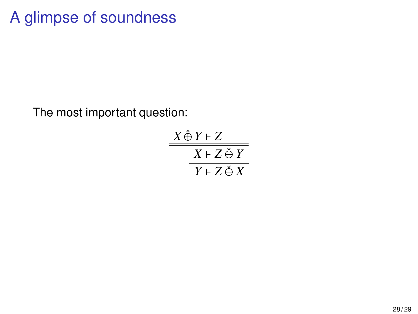# A glimpse of soundness

The most important question:

 $X \hat{\oplus} Y \vdash Z$  $X \vdash Z \check{\ominus} Y$  $Y \vdash Z \check{\ominus} X$